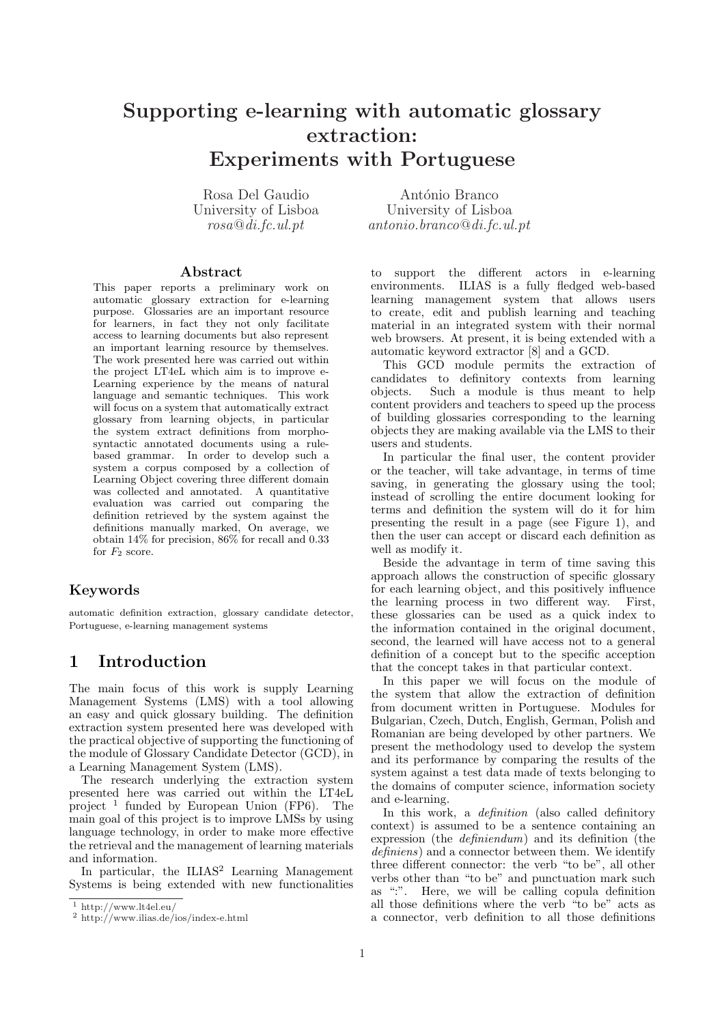# Supporting e-learning with automatic glossary extraction: Experiments with Portuguese

Rosa Del Gaudio University of Lisboa rosa@di.fc.ul.pt

António Branco University of Lisboa antonio.branco@di.fc.ul.pt

#### Abstract

This paper reports a preliminary work on automatic glossary extraction for e-learning purpose. Glossaries are an important resource for learners, in fact they not only facilitate access to learning documents but also represent an important learning resource by themselves. The work presented here was carried out within the project LT4eL which aim is to improve e-Learning experience by the means of natural language and semantic techniques. This work will focus on a system that automatically extract glossary from learning objects, in particular the system extract definitions from morphosyntactic annotated documents using a rulebased grammar. In order to develop such a system a corpus composed by a collection of Learning Object covering three different domain was collected and annotated. A quantitative evaluation was carried out comparing the definition retrieved by the system against the definitions manually marked, On average, we obtain 14% for precision, 86% for recall and 0.33 for  $F_2$  score.

#### Keywords

automatic definition extraction, glossary candidate detector, Portuguese, e-learning management systems

# 1 Introduction

The main focus of this work is supply Learning Management Systems (LMS) with a tool allowing an easy and quick glossary building. The definition extraction system presented here was developed with the practical objective of supporting the functioning of the module of Glossary Candidate Detector (GCD), in a Learning Management System (LMS).

The research underlying the extraction system presented here was carried out within the LT4eL project <sup>1</sup> funded by European Union (FP6). The main goal of this project is to improve LMSs by using language technology, in order to make more effective the retrieval and the management of learning materials and information.

In particular, the ILIAS<sup>2</sup> Learning Management Systems is being extended with new functionalities

to support the different actors in e-learning environments. ILIAS is a fully fledged web-based learning management system that allows users to create, edit and publish learning and teaching material in an integrated system with their normal web browsers. At present, it is being extended with a automatic keyword extractor [8] and a GCD.

This GCD module permits the extraction of candidates to definitory contexts from learning objects. Such a module is thus meant to help content providers and teachers to speed up the process of building glossaries corresponding to the learning objects they are making available via the LMS to their users and students.

In particular the final user, the content provider or the teacher, will take advantage, in terms of time saving, in generating the glossary using the tool; instead of scrolling the entire document looking for terms and definition the system will do it for him presenting the result in a page (see Figure 1), and then the user can accept or discard each definition as well as modify it.

Beside the advantage in term of time saving this approach allows the construction of specific glossary for each learning object, and this positively influence the learning process in two different way. First, these glossaries can be used as a quick index to the information contained in the original document, second, the learned will have access not to a general definition of a concept but to the specific acception that the concept takes in that particular context.

In this paper we will focus on the module of the system that allow the extraction of definition from document written in Portuguese. Modules for Bulgarian, Czech, Dutch, English, German, Polish and Romanian are being developed by other partners. We present the methodology used to develop the system and its performance by comparing the results of the system against a test data made of texts belonging to the domains of computer science, information society and e-learning.

In this work, a *definition* (also called definitory context) is assumed to be a sentence containing an expression (the definiendum) and its definition (the definiens) and a connector between them. We identify three different connector: the verb "to be", all other verbs other than "to be" and punctuation mark such as ":". Here, we will be calling copula definition all those definitions where the verb "to be" acts as a connector, verb definition to all those definitions

 $\frac{1 \text{ http://www.lt4el.eu/}}{2 \text{ http://www.lt4el.eu/}}$ 

 $\frac{2 \text{ http://www.ilias.de/ios/index-e.html}}{2}$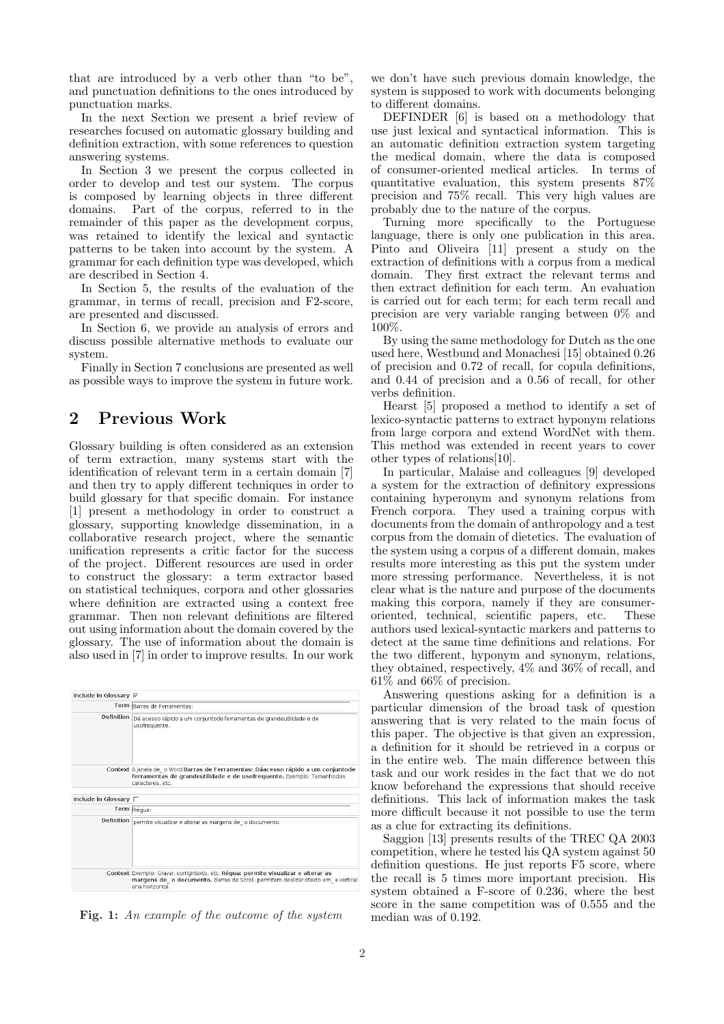that are introduced by a verb other than "to be", and punctuation definitions to the ones introduced by punctuation marks.

In the next Section we present a brief review of researches focused on automatic glossary building and definition extraction, with some references to question answering systems.

In Section 3 we present the corpus collected in order to develop and test our system. The corpus is composed by learning objects in three different domains. Part of the corpus, referred to in the remainder of this paper as the development corpus, was retained to identify the lexical and syntactic patterns to be taken into account by the system. A grammar for each definition type was developed, which are described in Section 4.

In Section 5, the results of the evaluation of the grammar, in terms of recall, precision and F2-score, are presented and discussed.

In Section 6, we provide an analysis of errors and discuss possible alternative methods to evaluate our system.

Finally in Section 7 conclusions are presented as well as possible ways to improve the system in future work.

# 2 Previous Work

Glossary building is often considered as an extension of term extraction, many systems start with the identification of relevant term in a certain domain [7] and then try to apply different techniques in order to build glossary for that specific domain. For instance [1] present a methodology in order to construct a glossary, supporting knowledge dissemination, in a collaborative research project, where the semantic unification represents a critic factor for the success of the project. Different resources are used in order to construct the glossary: a term extractor based on statistical techniques, corpora and other glossaries where definition are extracted using a context free grammar. Then non relevant definitions are filtered out using information about the domain covered by the glossary. The use of information about the domain is also used in [7] in order to improve results. In our work

| Include in Glossary $\nabla$    |                                                                                                                                                                                            |
|---------------------------------|--------------------------------------------------------------------------------------------------------------------------------------------------------------------------------------------|
|                                 | Term Barras de Ferramentas:                                                                                                                                                                |
|                                 | Definition Dá acesso rápido a um conjuntode ferramentas de grandeutilidade e de<br>usofrequente.                                                                                           |
|                                 | Context A janela de o Word Barras de Ferramentas: Dáacesso rápido a um conjuntode<br>ferramentas de grandeutilidade e de usofrequente. Exemplo: Tamanhodos<br>caracteres, etc.             |
| Include in Glossary $\sqsubset$ |                                                                                                                                                                                            |
|                                 | Term Réqua:                                                                                                                                                                                |
| <b>Definition</b>               | permite visualizar e alterar as margens de o documento.                                                                                                                                    |
|                                 | Context Exemplo: Gravar, corrigirtexto, etc. Régua: permite visualizar e alterar as<br>margens de o documento. Barras de Scroll: permitem deslizar otexto em a vertical<br>ena horizontal. |

Fig. 1: An example of the outcome of the system

we don't have such previous domain knowledge, the system is supposed to work with documents belonging to different domains.

DEFINDER [6] is based on a methodology that use just lexical and syntactical information. This is an automatic definition extraction system targeting the medical domain, where the data is composed of consumer-oriented medical articles. In terms of quantitative evaluation, this system presents 87% precision and 75% recall. This very high values are probably due to the nature of the corpus.

Turning more specifically to the Portuguese language, there is only one publication in this area. Pinto and Oliveira [11] present a study on the extraction of definitions with a corpus from a medical domain. They first extract the relevant terms and then extract definition for each term. An evaluation is carried out for each term; for each term recall and precision are very variable ranging between 0% and 100%.

By using the same methodology for Dutch as the one used here, Westbund and Monachesi [15] obtained 0.26 of precision and 0.72 of recall, for copula definitions, and 0.44 of precision and a 0.56 of recall, for other verbs definition.

Hearst [5] proposed a method to identify a set of lexico-syntactic patterns to extract hyponym relations from large corpora and extend WordNet with them. This method was extended in recent years to cover other types of relations[10].

In particular, Malaise and colleagues [9] developed a system for the extraction of definitory expressions containing hyperonym and synonym relations from French corpora. They used a training corpus with documents from the domain of anthropology and a test corpus from the domain of dietetics. The evaluation of the system using a corpus of a different domain, makes results more interesting as this put the system under more stressing performance. Nevertheless, it is not clear what is the nature and purpose of the documents making this corpora, namely if they are consumeroriented, technical, scientific papers, etc. These authors used lexical-syntactic markers and patterns to detect at the same time definitions and relations. For the two different, hyponym and synonym, relations, they obtained, respectively, 4% and 36% of recall, and 61% and 66% of precision.

Answering questions asking for a definition is a particular dimension of the broad task of question answering that is very related to the main focus of this paper. The objective is that given an expression, a definition for it should be retrieved in a corpus or in the entire web. The main difference between this task and our work resides in the fact that we do not know beforehand the expressions that should receive definitions. This lack of information makes the task more difficult because it not possible to use the term as a clue for extracting its definitions.

Saggion [13] presents results of the TREC QA 2003 competition, where he tested his QA system against 50 definition questions. He just reports F5 score, where the recall is 5 times more important precision. His system obtained a F-score of 0.236, where the best score in the same competition was of 0.555 and the median was of 0.192.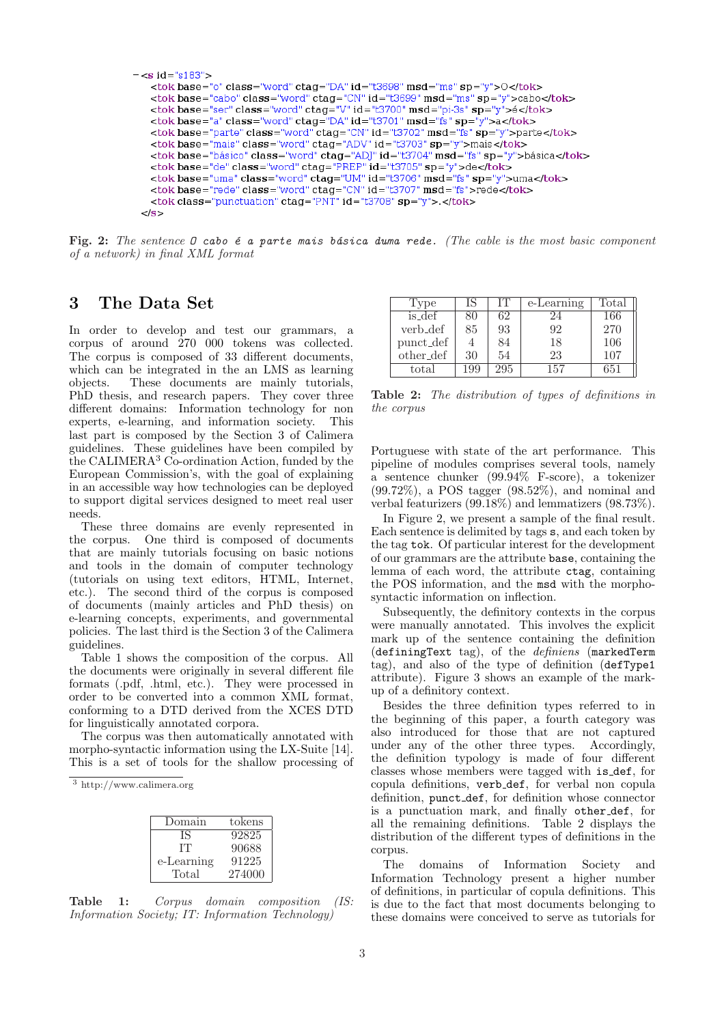```
- <s id="s183">
   <tok base="o" class="word" ctag="DA" id="t3698" msd="ms" sp="y">O</tok>
   <tok base="cabo" class="word" ctag="CN" id="t3699" msd="ms" sp="y">cabo</tok>
   \lttok base="ser" class="word" ctag="V" id="t3700" msd="pi-3s" sp="y">é\lt/tok>
   \frac{1}{2} <tok base="a" class="word" ctag="DA" id="t3701" msd="fs" sp="y">a</tok>
   <tok base="parte" class="word" ctag="CN" id="t3702" msd="fs" sp="y">parte</tok>
   <tok base="mais" class="word" ctag="ADV" id="t3703" sp="y">mais</tok>
   <br/>tok base="básico" class="word" ctag="ADJ" id="t3704" msd="fs" sp="y">básica</tok>
   <tok base="de" class="word" ctag="PREP" id="t3705" sp="y">de</tok>
   <tok base="uma" class="word" ctag="UM" id="t3706" msd="fs" sp="y">uma</tok>
   <br/>tok base="rede" class="word" ctag="CN" id="t3707" msd="fs">rede</tok><br/><tok class="punctuation" ctag="PNT" id="t3708" sp="y">.</tok>
 </s>
```
Fig. 2: The sentence  $\mathcal D$  cabo  $\epsilon$  a parte mais básica duma rede. (The cable is the most basic component of a network) in final XML format

### 3 The Data Set

In order to develop and test our grammars, a corpus of around 270 000 tokens was collected. The corpus is composed of 33 different documents, which can be integrated in the an LMS as learning objects. These documents are mainly tutorials, PhD thesis, and research papers. They cover three different domains: Information technology for non experts, e-learning, and information society. This last part is composed by the Section 3 of Calimera guidelines. These guidelines have been compiled by the CALIMERA<sup>3</sup> Co-ordination Action, funded by the European Commission's, with the goal of explaining in an accessible way how technologies can be deployed to support digital services designed to meet real user needs.

These three domains are evenly represented in the corpus. One third is composed of documents that are mainly tutorials focusing on basic notions and tools in the domain of computer technology (tutorials on using text editors, HTML, Internet, etc.). The second third of the corpus is composed of documents (mainly articles and PhD thesis) on e-learning concepts, experiments, and governmental policies. The last third is the Section 3 of the Calimera guidelines.

Table 1 shows the composition of the corpus. All the documents were originally in several different file formats (.pdf, .html, etc.). They were processed in order to be converted into a common XML format, conforming to a DTD derived from the XCES DTD for linguistically annotated corpora.

The corpus was then automatically annotated with morpho-syntactic information using the LX-Suite [14]. This is a set of tools for the shallow processing of

<sup>3</sup> http://www.calimera.org

| Domain     | tokens |
|------------|--------|
| ΙS         | 92825  |
| TT.        | 90688  |
| e-Learning | 91225  |
| Total      | 274000 |

Table 1: Corpus domain composition (IS: Information Society; IT: Information Technology)

| Type      | IS  | ĽГ  | e-Learning | Total |
|-----------|-----|-----|------------|-------|
| is_def    | 80  | 62  | 24         | 166   |
| verb_def  | 85  | 93  | 92         | 270   |
| punct_def |     | 84  | 18         | 106   |
| other_def | 30  | 54  | 23         | 107   |
| total     | 199 | 295 | 157        | 651   |

Table 2: The distribution of types of definitions in the corpus

Portuguese with state of the art performance. This pipeline of modules comprises several tools, namely a sentence chunker (99.94% F-score), a tokenizer (99.72%), a POS tagger (98.52%), and nominal and verbal featurizers (99.18%) and lemmatizers (98.73%).

In Figure 2, we present a sample of the final result. Each sentence is delimited by tags s, and each token by the tag tok. Of particular interest for the development of our grammars are the attribute base, containing the lemma of each word, the attribute ctag, containing the POS information, and the msd with the morphosyntactic information on inflection.

Subsequently, the definitory contexts in the corpus were manually annotated. This involves the explicit mark up of the sentence containing the definition (definingText tag), of the definiens (markedTerm tag), and also of the type of definition (defType1 attribute). Figure 3 shows an example of the markup of a definitory context.

Besides the three definition types referred to in the beginning of this paper, a fourth category was also introduced for those that are not captured under any of the other three types. Accordingly, the definition typology is made of four different classes whose members were tagged with is def, for copula definitions, verb def, for verbal non copula definition, punct def, for definition whose connector is a punctuation mark, and finally other def, for all the remaining definitions. Table 2 displays the distribution of the different types of definitions in the corpus.

The domains of Information Society and Information Technology present a higher number of definitions, in particular of copula definitions. This is due to the fact that most documents belonging to these domains were conceived to serve as tutorials for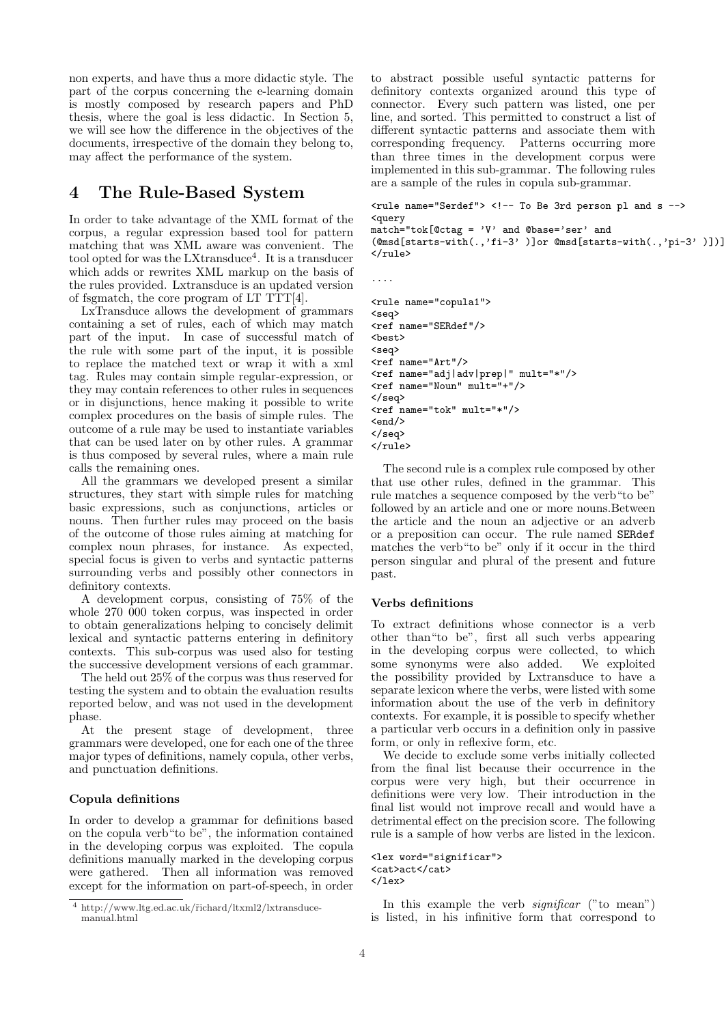non experts, and have thus a more didactic style. The part of the corpus concerning the e-learning domain is mostly composed by research papers and PhD thesis, where the goal is less didactic. In Section 5, we will see how the difference in the objectives of the documents, irrespective of the domain they belong to, may affect the performance of the system.

### 4 The Rule-Based System

In order to take advantage of the XML format of the corpus, a regular expression based tool for pattern matching that was XML aware was convenient. The tool opted for was the LXtransduce<sup>4</sup>. It is a transducer which adds or rewrites XML markup on the basis of the rules provided. Lxtransduce is an updated version of fsgmatch, the core program of LT TTT[4].

LxTransduce allows the development of grammars containing a set of rules, each of which may match part of the input. In case of successful match of the rule with some part of the input, it is possible to replace the matched text or wrap it with a xml tag. Rules may contain simple regular-expression, or they may contain references to other rules in sequences or in disjunctions, hence making it possible to write complex procedures on the basis of simple rules. The outcome of a rule may be used to instantiate variables that can be used later on by other rules. A grammar is thus composed by several rules, where a main rule calls the remaining ones.

All the grammars we developed present a similar structures, they start with simple rules for matching basic expressions, such as conjunctions, articles or nouns. Then further rules may proceed on the basis of the outcome of those rules aiming at matching for complex noun phrases, for instance. As expected, special focus is given to verbs and syntactic patterns surrounding verbs and possibly other connectors in definitory contexts.

A development corpus, consisting of 75% of the whole 270 000 token corpus, was inspected in order to obtain generalizations helping to concisely delimit lexical and syntactic patterns entering in definitory contexts. This sub-corpus was used also for testing the successive development versions of each grammar.

The held out 25% of the corpus was thus reserved for testing the system and to obtain the evaluation results reported below, and was not used in the development phase.

At the present stage of development, three grammars were developed, one for each one of the three major types of definitions, namely copula, other verbs, and punctuation definitions.

#### Copula definitions

In order to develop a grammar for definitions based on the copula verb"to be", the information contained in the developing corpus was exploited. The copula definitions manually marked in the developing corpus were gathered. Then all information was removed except for the information on part-of-speech, in order

to abstract possible useful syntactic patterns for definitory contexts organized around this type of connector. Every such pattern was listed, one per line, and sorted. This permitted to construct a list of different syntactic patterns and associate them with corresponding frequency. Patterns occurring more than three times in the development corpus were implemented in this sub-grammar. The following rules are a sample of the rules in copula sub-grammar.

```
<rule name="Serdef"> <!-- To Be 3rd person pl and s -->
<query
```
match="tok[@ctag = 'V' and @base='ser' and  $(@msd[starts-with(., 'fi-3' )]or @msd[starts-with(., 'pi-3' )])]$  $\langle$ rule $\rangle$ 

```
<rule name="copula1">
<seq>
<ref name="SERdef"/>
<sub>best</sub></sub>
<seq>
<ref name="Art"/>
<ref name="adj|adv|prep|" mult="*"/>
<ref name="Noun" mult="+"/>
</seq>
<ref name="tok" mult="*"/>
\langle end \rangle</seq>
</rule>
```
The second rule is a complex rule composed by other that use other rules, defined in the grammar. This rule matches a sequence composed by the verb"to be" followed by an article and one or more nouns.Between the article and the noun an adjective or an adverb or a preposition can occur. The rule named SERdef matches the verb"to be" only if it occur in the third person singular and plural of the present and future past.

#### Verbs definitions

....

To extract definitions whose connector is a verb other than"to be", first all such verbs appearing in the developing corpus were collected, to which some synonyms were also added. We exploited the possibility provided by Lxtransduce to have a separate lexicon where the verbs, were listed with some information about the use of the verb in definitory contexts. For example, it is possible to specify whether a particular verb occurs in a definition only in passive form, or only in reflexive form, etc.

We decide to exclude some verbs initially collected from the final list because their occurrence in the corpus were very high, but their occurrence in definitions were very low. Their introduction in the final list would not improve recall and would have a detrimental effect on the precision score. The following rule is a sample of how verbs are listed in the lexicon.

```
<lex word="significar">
<cat>act</cat>
\langlelex>
```
In this example the verb  $significar$  ("to mean") is listed, in his infinitive form that correspond to

<sup>4</sup> http://www.ltg.ed.ac.uk/˜richard/ltxml2/lxtransducemanual.html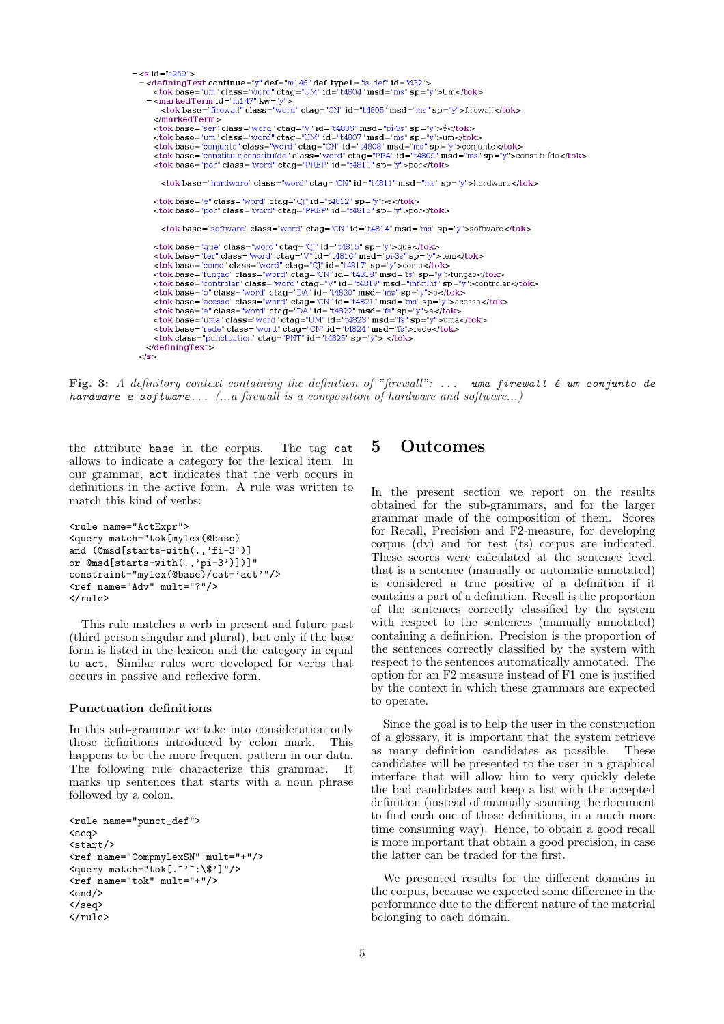```
= \le s id = "s259" >
   -<definingText continue="y" def="m146" def type1="is_def" id="d32">
    Submitted Term in class="word" ctag="UM" id="t4804" msd="ms" sp="y">Um</tok><br>- <marked Term id="m147" kw="y">
         -tok base="firewall" class="word" ctag="CN" id="t4805" msd="ms" sp="y">firewall</tok>
       </markedTerm>
      </not base="ser" class="word" ctag="V" id="t4806" msd="pi-3s" sp="y">é</tok><br><tok base="ser" class="word" ctag="UM" id="t4807" msd="ms" sp="y">im</tok><br><tok base="um" class="word" ctag="UM" id="t4807" msd="ms" sp="y">um</t
         <tok base="hardware" class="word" ctag="CN" id="t4811" msd="ms" sp="y">hardware</tok>
       <tok base="e" class="word" ctag="CJ" id="t4812" sp="y">e</tok>
       <tok base="por" class="word" ctag="PREP" id="t4813" sp="y">por</tok>
         <tok base="software" class="word" ctag="CN" id="t4814" msd="ms" sp="y">software</tok>
      <br>
"consider "exer" class ="word" ctag="Cj" id="t4815" sp="y">que</refokbs ="ter" class="word" ctag="Cj" id="t4815" sp="y">que</refokbs<br>
<tok base="como" class="word" ctag="Cj" id="t4815" sp="y">como</tok><br>
<tok base="como
    \alphadefiningText>
  \epsilon/s>
```
Fig. 3: A definitory context containing the definition of "firewall": ... uma firewall  $\epsilon$  um conjunto de hardware e software...  $(...a$  firewall is a composition of hardware and software...)

the attribute base in the corpus. The tag cat allows to indicate a category for the lexical item. In our grammar, act indicates that the verb occurs in definitions in the active form. A rule was written to match this kind of verbs:

```
<rule name="ActExpr">
<query match="tok[mylex(@base)
and (@msd[starts-with(.,'fi-3')]
or @msd[starts-with(.,'pi-3')])]"
constraint="mylex(@base)/cat='act'"/>
<ref name="Adv" mult="?"/>
\langle/rule>
```
This rule matches a verb in present and future past (third person singular and plural), but only if the base form is listed in the lexicon and the category in equal to act. Similar rules were developed for verbs that occurs in passive and reflexive form.

#### Punctuation definitions

In this sub-grammar we take into consideration only those definitions introduced by colon mark. This happens to be the more frequent pattern in our data. The following rule characterize this grammar. It marks up sentences that starts with a noun phrase followed by a colon.

```
<rule name="punct_def">
<seq>
<start/>
<ref name="CompmylexSN" mult="+"/>
<query match="tok[.~'^:\$']"/>
<ref name="tok" mult="+"/>
\langle end \rangle</seq>
\langle/\overline{r}ule>
```
### 5 Outcomes

In the present section we report on the results obtained for the sub-grammars, and for the larger grammar made of the composition of them. Scores for Recall, Precision and F2-measure, for developing corpus (dv) and for test (ts) corpus are indicated. These scores were calculated at the sentence level, that is a sentence (manually or automatic annotated) is considered a true positive of a definition if it contains a part of a definition. Recall is the proportion of the sentences correctly classified by the system with respect to the sentences (manually annotated) containing a definition. Precision is the proportion of the sentences correctly classified by the system with respect to the sentences automatically annotated. The option for an F2 measure instead of F1 one is justified by the context in which these grammars are expected to operate.

Since the goal is to help the user in the construction of a glossary, it is important that the system retrieve as many definition candidates as possible. These candidates will be presented to the user in a graphical interface that will allow him to very quickly delete the bad candidates and keep a list with the accepted definition (instead of manually scanning the document to find each one of those definitions, in a much more time consuming way). Hence, to obtain a good recall is more important that obtain a good precision, in case the latter can be traded for the first.

We presented results for the different domains in the corpus, because we expected some difference in the performance due to the different nature of the material belonging to each domain.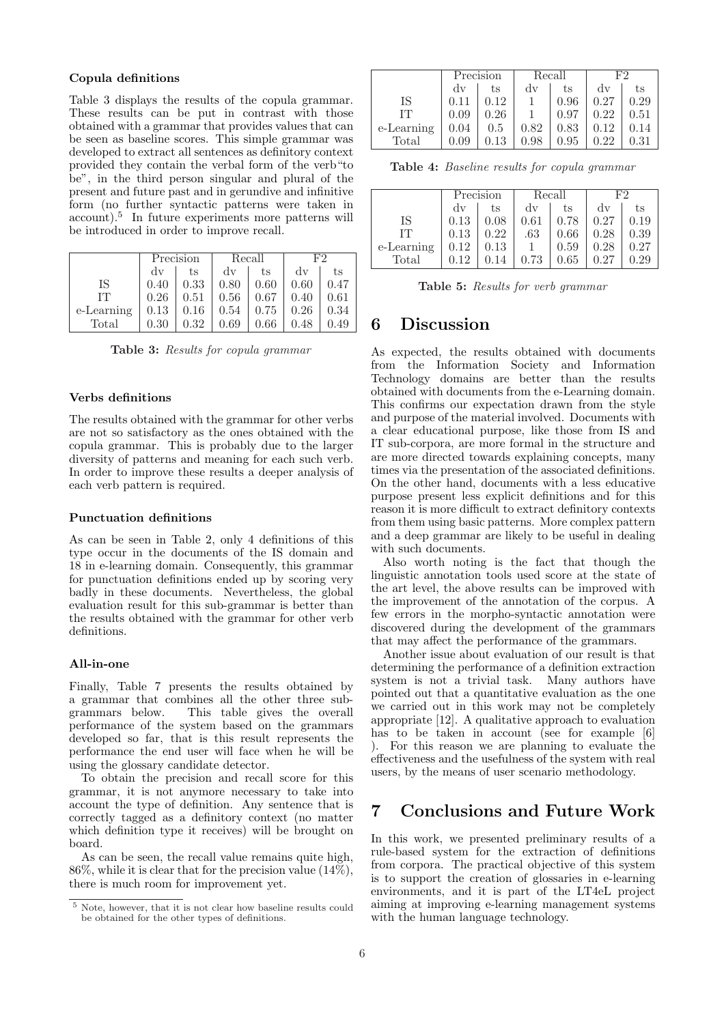#### Copula definitions

Table 3 displays the results of the copula grammar. These results can be put in contrast with those obtained with a grammar that provides values that can be seen as baseline scores. This simple grammar was developed to extract all sentences as definitory context provided they contain the verbal form of the verb"to be", in the third person singular and plural of the present and future past and in gerundive and infinitive form (no further syntactic patterns were taken in account).<sup>5</sup> In future experiments more patterns will be introduced in order to improve recall.

|            | Precision              |      | Recall                 |      | ドウ                     |      |
|------------|------------------------|------|------------------------|------|------------------------|------|
|            | $\mathrm{d}\mathrm{v}$ | ts   | $\mathrm{d}\mathrm{v}$ | ts   | $\mathrm{d}\mathrm{v}$ | ts   |
| IS         | 0.40                   | 0.33 | 0.80                   | 0.60 | 0.60                   | 0.47 |
| TТ         | 0.26                   | 0.51 | 0.56                   | 0.67 | 0.40                   | 0.61 |
| e-Learning | 0.13                   | 0.16 | 0.54                   | 0.75 | 0.26                   | 0.34 |
| Total      | 0.30                   | 0.32 | 0.69                   | 0.66 | 0.48                   |      |

Table 3: Results for copula grammar

#### Verbs definitions

The results obtained with the grammar for other verbs are not so satisfactory as the ones obtained with the copula grammar. This is probably due to the larger diversity of patterns and meaning for each such verb. In order to improve these results a deeper analysis of each verb pattern is required.

#### Punctuation definitions

As can be seen in Table 2, only 4 definitions of this type occur in the documents of the IS domain and 18 in e-learning domain. Consequently, this grammar for punctuation definitions ended up by scoring very badly in these documents. Nevertheless, the global evaluation result for this sub-grammar is better than the results obtained with the grammar for other verb definitions.

#### All-in-one

Finally, Table 7 presents the results obtained by a grammar that combines all the other three subgrammars below. This table gives the overall performance of the system based on the grammars developed so far, that is this result represents the performance the end user will face when he will be using the glossary candidate detector.

To obtain the precision and recall score for this grammar, it is not anymore necessary to take into account the type of definition. Any sentence that is correctly tagged as a definitory context (no matter which definition type it receives) will be brought on board.

As can be seen, the recall value remains quite high, 86%, while it is clear that for the precision value (14%), there is much room for improvement yet.

|            | Precision              |      | Recall                 |      | ドウ                     |      |
|------------|------------------------|------|------------------------|------|------------------------|------|
|            | $\mathrm{d}\mathrm{v}$ | ts   | $\mathrm{d}\mathrm{v}$ | ts   | $\mathrm{d}\mathrm{v}$ | ts   |
| IS         | 0.11                   | 0.12 |                        | 0.96 | 0.27                   | 0.29 |
| IТ         | 0.09                   | 0.26 |                        | 0.97 | 0.22                   | 0.51 |
| e-Learning | 0.04                   | 0.5  | 0.82                   | 0.83 | 0.12                   | 0.14 |
| Total      | 0.09                   | 0.13 | 0.98                   | 0.95 | 0.22                   | 0.31 |

Table 4: Baseline results for copula grammar

|            | Precision |      |      | Recall | F2   |      |
|------------|-----------|------|------|--------|------|------|
|            | dv        | ts   | dv   | ts     | dv   | ts   |
| IS         | 0.13      | 0.08 | 0.61 | 0.78   | 0.27 | 0.19 |
| TТ         | 0.13      | 0.22 | .63  | 0.66   | 0.28 | 0.39 |
| e-Learning | 0.12      | 0.13 |      | 0.59   | 0.28 | 0.27 |
| Total      |           |      | 0.73 | 0.65   | 0.27 |      |

Table 5: Results for verb grammar

### 6 Discussion

As expected, the results obtained with documents from the Information Society and Information Technology domains are better than the results obtained with documents from the e-Learning domain. This confirms our expectation drawn from the style and purpose of the material involved. Documents with a clear educational purpose, like those from IS and IT sub-corpora, are more formal in the structure and are more directed towards explaining concepts, many times via the presentation of the associated definitions. On the other hand, documents with a less educative purpose present less explicit definitions and for this reason it is more difficult to extract definitory contexts from them using basic patterns. More complex pattern and a deep grammar are likely to be useful in dealing with such documents.

Also worth noting is the fact that though the linguistic annotation tools used score at the state of the art level, the above results can be improved with the improvement of the annotation of the corpus. A few errors in the morpho-syntactic annotation were discovered during the development of the grammars that may affect the performance of the grammars.

Another issue about evaluation of our result is that determining the performance of a definition extraction system is not a trivial task. Many authors have pointed out that a quantitative evaluation as the one we carried out in this work may not be completely appropriate [12]. A qualitative approach to evaluation has to be taken in account (see for example [6] ). For this reason we are planning to evaluate the effectiveness and the usefulness of the system with real users, by the means of user scenario methodology.

# 7 Conclusions and Future Work

In this work, we presented preliminary results of a rule-based system for the extraction of definitions from corpora. The practical objective of this system is to support the creation of glossaries in e-learning environments, and it is part of the LT4eL project aiming at improving e-learning management systems with the human language technology.

 $^{\,5}$  Note, however, that it is not clear how baseline results could be obtained for the other types of definitions.